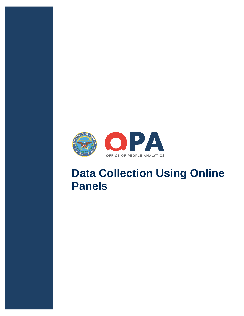

## **Data Collection Using Online Panels**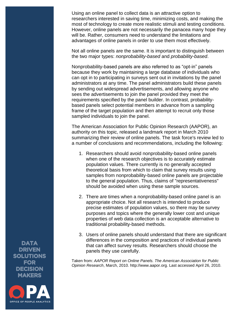Using an online panel to collect data is an attractive option to researchers interested in saving time, minimizing costs, and making the most of technology to create more realistic stimuli and testing conditions. However, online panels are not necessarily the panacea many hope they will be. Rather, consumers need to understand the limitations and advantages of online panels in order to use them most effectively.

Not all online panels are the same. It is important to distinguish between the two major types: *nonprobability-based* and *probability-based*.

Nonprobability-based panels are also referred to as "opt-in" panels because they work by maintaining a large database of individuals who can opt in to participating in surveys sent out in invitations by the panel administrators at any time. The panel administrators build these panels by sending out widespread advertisements, and allowing anyone who sees the advertisements to join the panel provided they meet the requirements specified by the panel builder. In contrast, probabilitybased panels select potential members in advance from a sampling frame of the target population and then attempt to recruit only those sampled individuals to join the panel.

The American Association for Public Opinion Research (AAPOR), an authority on this topic, released a landmark report in March 2010 summarizing their review of online panels. The task force's review led to a number of conclusions and recommendations, including the following:

- 1. Researchers should avoid nonprobability-based online panels when one of the research objectives is to accurately estimate population values. There currently is no generally accepted theoretical basis from which to claim that survey results using samples from nonprobability-based online panels are projectable to the general population. Thus, claims of "representativeness" should be avoided when using these sample sources.
- 2. There are times when a nonprobability-based online panel is an appropriate choice. Not all research is intended to produce precise estimates of population values, so there may be survey purposes and topics where the generally lower cost and unique properties of web data collection is an acceptable alternative to traditional probability-based methods.
- 3. Users of online panels should understand that there are significant differences in the composition and practices of individual panels that can affect survey results. Researchers should choose the panels they use carefully.

Taken from: *AAPOR Report on Online Panels. The American Association for Public Opinion Research*, March, 2010. http://www.aapor.org. Last accessed April 26, 2010.

**DATA DRIVEN SOLUTIONS FOR DECISION MAKERS** 

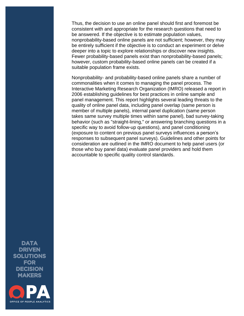Thus, the decision to use an online panel should first and foremost be consistent with and appropriate for the research questions that need to be answered. If the objective is to estimate population values, nonprobability-based online panels are not sufficient; however, they may be entirely sufficient if the objective is to conduct an experiment or delve deeper into a topic to explore relationships or discover new insights. Fewer probability-based panels exist than nonprobability-based panels; however, custom probability-based online panels can be created if a suitable population frame exists.

Nonprobability- and probability-based online panels share a number of commonalities when it comes to managing the panel process. The Interactive Marketing Research Organization (IMRO) released a report in 2006 establishing guidelines for best practices in online sample and panel management. This report highlights several leading threats to the quality of online panel data, including panel overlap (same person is member of multiple panels), internal panel duplication (same person takes same survey multiple times within same panel), bad survey-taking behavior (such as "straight-lining," or answering branching questions in a specific way to avoid follow-up questions), and panel conditioning (exposure to content on previous panel surveys influences a person's responses to subsequent panel surveys). Guidelines and other points for consideration are outlined in the IMRO document to help panel users (or those who buy panel data) evaluate panel providers and hold them accountable to specific quality control standards.

**DATA DRIVEN SOLUTIONS FOR DECISION MAKERS**